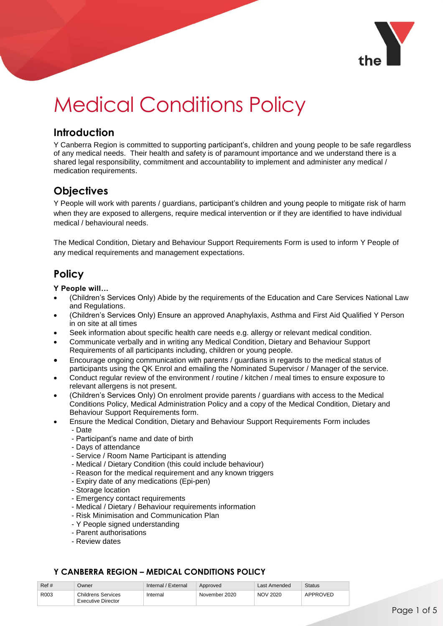

# Medical Conditions Policy

## **Introduction**

Y Canberra Region is committed to supporting participant's, children and young people to be safe regardless of any medical needs. Their health and safety is of paramount importance and we understand there is a shared legal responsibility, commitment and accountability to implement and administer any medical / medication requirements.

# **Objectives**

Y People will work with parents / guardians, participant's children and young people to mitigate risk of harm when they are exposed to allergens, require medical intervention or if they are identified to have individual medical / behavioural needs.

The Medical Condition, Dietary and Behaviour Support Requirements Form is used to inform Y People of any medical requirements and management expectations.

# **Policy**

**Y People will…**

- (Children's Services Only) Abide by the requirements of the Education and Care Services National Law and Regulations.
- (Children's Services Only) Ensure an approved Anaphylaxis, Asthma and First Aid Qualified Y Person in on site at all times
- Seek information about specific health care needs e.g. allergy or relevant medical condition.
- Communicate verbally and in writing any Medical Condition, Dietary and Behaviour Support Requirements of all participants including, children or young people.
- Encourage ongoing communication with parents / guardians in regards to the medical status of participants using the QK Enrol and emailing the Nominated Supervisor / Manager of the service.
- Conduct regular review of the environment / routine / kitchen / meal times to ensure exposure to relevant allergens is not present.
- (Children's Services Only) On enrolment provide parents / guardians with access to the Medical Conditions Policy, Medical Administration Policy and a copy of the Medical Condition, Dietary and Behaviour Support Requirements form.
	- Ensure the Medical Condition, Dietary and Behaviour Support Requirements Form includes
		- Date
		- Participant's name and date of birth
		- Days of attendance
		- Service / Room Name Participant is attending
		- Medical / Dietary Condition (this could include behaviour)
		- Reason for the medical requirement and any known triggers
		- Expiry date of any medications (Epi-pen)
		- Storage location
		- Emergency contact requirements
		- Medical / Dietary / Behaviour requirements information
		- Risk Minimisation and Communication Plan
		- Y People signed understanding
		- Parent authorisations
		- Review dates

| Ref# | Jwner                                    | Internal / External | Approved      | Last Amended    | <b>Status</b> |  |
|------|------------------------------------------|---------------------|---------------|-----------------|---------------|--|
| R003 | Childrens Services<br>Executive Director | Internal            | November 2020 | <b>NOV 2020</b> | APPROVED      |  |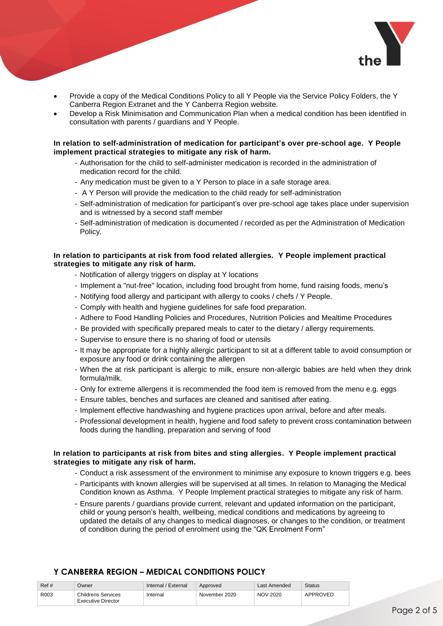

- Provide a copy of the Medical Conditions Policy to all Y People via the Service Policy Folders, the Y Canberra Region Extranet and the Y Canberra Region website.
- Develop a Risk Minimisation and Communication Plan when a medical condition has been identified in consultation with parents / guardians and Y People.

#### **In relation to self-administration of medication for participant's over pre-school age. Y People implement practical strategies to mitigate any risk of harm.**

- Authorisation for the child to self-administer medication is recorded in the administration of medication record for the child.
- Any medication must be given to a Y Person to place in a safe storage area.
- A Y Person will provide the medication to the child ready for self-administration
- Self-administration of medication for participant's over pre-school age takes place under supervision and is witnessed by a second staff member
- Self-administration of medication is documented / recorded as per the Administration of Medication Policy.

#### **In relation to participants at risk from food related allergies. Y People implement practical strategies to mitigate any risk of harm.**

- Notification of allergy triggers on display at Y locations
- Implement a "nut-free" location, including food brought from home, fund raising foods, menu's
- Notifying food allergy and participant with allergy to cooks / chefs / Y People.
- Comply with health and hygiene guidelines for safe food preparation.
- Adhere to Food Handling Policies and Procedures, Nutrition Policies and Mealtime Procedures
- Be provided with specifically prepared meals to cater to the dietary / allergy requirements.
- Supervise to ensure there is no sharing of food or utensils
- It may be appropriate for a highly allergic participant to sit at a different table to avoid consumption or exposure any food or drink containing the allergen
- When the at risk participant is allergic to milk, ensure non-allergic babies are held when they drink formula/milk.
- Only for extreme allergens it is recommended the food item is removed from the menu e.g. eggs
- Ensure tables, benches and surfaces are cleaned and sanitised after eating.
- Implement effective handwashing and hygiene practices upon arrival, before and after meals.
- Professional development in health, hygiene and food safety to prevent cross contamination between foods during the handling, preparation and serving of food

#### **In relation to participants at risk from bites and sting allergies. Y People implement practical strategies to mitigate any risk of harm.**

- Conduct a risk assessment of the environment to minimise any exposure to known triggers e.g. bees
- Participants with known allergies will be supervised at all times. In relation to Managing the Medical Condition known as Asthma. Y People Implement practical strategies to mitigate any risk of harm.
- Ensure parents / guardians provide current, relevant and updated information on the participant, child or young person's health, wellbeing, medical conditions and medications by agreeing to updated the details of any changes to medical diagnoses, or changes to the condition, or treatment of condition during the period of enrolment using the "QK Enrolment Form"

| Ref# | Owner                                           | Internal / External | Approved      | Last Amended    | <b>Status</b> |
|------|-------------------------------------------------|---------------------|---------------|-----------------|---------------|
| R003 | Childrens Services<br><b>Executive Director</b> | Internal            | November 2020 | <b>NOV 2020</b> | APPROVED      |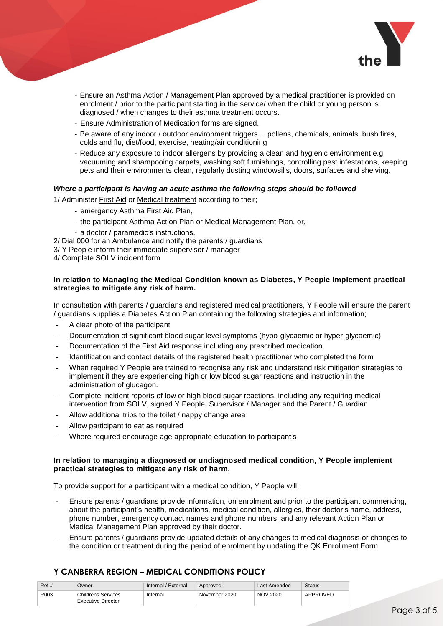

- Ensure an Asthma Action / Management Plan approved by a medical practitioner is provided on enrolment / prior to the participant starting in the service/ when the child or young person is diagnosed / when changes to their asthma treatment occurs.
- Ensure Administration of Medication forms are signed.
- Be aware of any indoor / outdoor environment triggers… pollens, chemicals, animals, bush fires, colds and flu, diet/food, exercise, heating/air conditioning
- Reduce any exposure to indoor allergens by providing a clean and hygienic environment e.g. vacuuming and shampooing carpets, washing soft furnishings, controlling pest infestations, keeping pets and their environments clean, regularly dusting windowsills, doors, surfaces and shelving.

#### *Where a participant is having an acute asthma the following steps should be followed*

1/ Administer First Aid or Medical treatment according to their;

- emergency Asthma First Aid Plan,
- the participant Asthma Action Plan or Medical Management Plan, or,
- a doctor / paramedic's instructions.
- 2/ Dial 000 for an Ambulance and notify the parents / guardians
- 3/ Y People inform their immediate supervisor / manager
- 4/ Complete SOLV incident form

#### **In relation to Managing the Medical Condition known as Diabetes, Y People Implement practical strategies to mitigate any risk of harm.**

In consultation with parents / guardians and registered medical practitioners, Y People will ensure the parent / guardians supplies a Diabetes Action Plan containing the following strategies and information;

- A clear photo of the participant
- Documentation of significant blood sugar level symptoms (hypo-glycaemic or hyper-glycaemic)
- Documentation of the First Aid response including any prescribed medication
- Identification and contact details of the registered health practitioner who completed the form
- When required Y People are trained to recognise any risk and understand risk mitigation strategies to implement if they are experiencing high or low blood sugar reactions and instruction in the administration of glucagon.
- Complete Incident reports of low or high blood sugar reactions, including any requiring medical intervention from SOLV, signed Y People, Supervisor / Manager and the Parent / Guardian
- Allow additional trips to the toilet / nappy change area
- Allow participant to eat as required
- Where required encourage age appropriate education to participant's

#### **In relation to managing a diagnosed or undiagnosed medical condition, Y People implement practical strategies to mitigate any risk of harm.**

To provide support for a participant with a medical condition, Y People will;

- Ensure parents / guardians provide information, on enrolment and prior to the participant commencing, about the participant's health, medications, medical condition, allergies, their doctor's name, address, phone number, emergency contact names and phone numbers, and any relevant Action Plan or Medical Management Plan approved by their doctor.
- Ensure parents / guardians provide updated details of any changes to medical diagnosis or changes to the condition or treatment during the period of enrolment by updating the QK Enrollment Form

| Ref# | Owner                                    | Internal / External | Approved      | Last Amended    | Status   |
|------|------------------------------------------|---------------------|---------------|-----------------|----------|
| R003 | Childrens Services<br>Executive Director | Internal            | November 2020 | <b>NOV 2020</b> | APPROVED |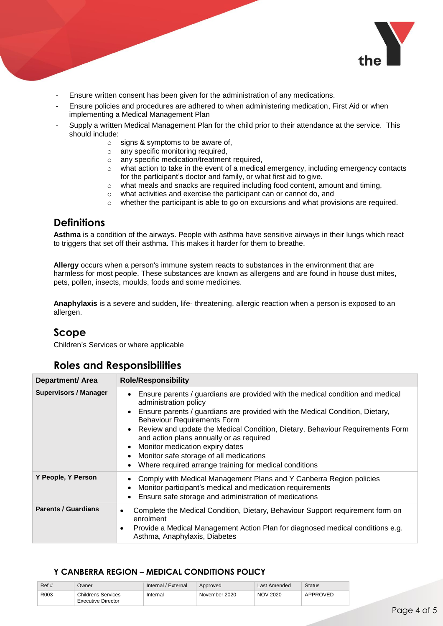

- Ensure written consent has been given for the administration of any medications.
- Ensure policies and procedures are adhered to when administering medication, First Aid or when implementing a Medical Management Plan
- Supply a written Medical Management Plan for the child prior to their attendance at the service. This should include:
	- o signs & symptoms to be aware of,
	- o any specific monitoring required,
	- o any specific medication/treatment required,
	- $\circ$  what action to take in the event of a medical emergency, including emergency contacts for the participant's doctor and family, or what first aid to give.
	- $\circ$  what meals and snacks are required including food content, amount and timing,
	- o what activities and exercise the participant can or cannot do, and
	- $\circ$  whether the participant is able to go on excursions and what provisions are required.

## **Definitions**

**Asthma** is a condition of the airways. People with asthma have sensitive airways in their lungs which react to triggers that set off their asthma. This makes it harder for them to breathe.

**Allergy** occurs when a person's immune system reacts to substances in the environment that are harmless for most people. These substances are known as allergens and are found in house dust mites, pets, pollen, insects, moulds, foods and some medicines.

**Anaphylaxis** is a severe and sudden, life- threatening, allergic reaction when a person is exposed to an allergen.

## **Scope**

Children's Services or where applicable

## **Roles and Responsibilities**

| <b>Department/ Area</b>      | <b>Role/Responsibility</b>                                                                                                                                                                                                                                                                                                                                                                                                                                                                                                     |  |  |  |
|------------------------------|--------------------------------------------------------------------------------------------------------------------------------------------------------------------------------------------------------------------------------------------------------------------------------------------------------------------------------------------------------------------------------------------------------------------------------------------------------------------------------------------------------------------------------|--|--|--|
| <b>Supervisors / Manager</b> | Ensure parents / guardians are provided with the medical condition and medical<br>$\bullet$<br>administration policy<br>Ensure parents / guardians are provided with the Medical Condition, Dietary,<br><b>Behaviour Requirements Form</b><br>• Review and update the Medical Condition, Dietary, Behaviour Requirements Form<br>and action plans annually or as required<br>Monitor medication expiry dates<br>$\bullet$<br>Monitor safe storage of all medications<br>Where required arrange training for medical conditions |  |  |  |
| Y People, Y Person           | Comply with Medical Management Plans and Y Canberra Region policies<br>Monitor participant's medical and medication requirements<br>Ensure safe storage and administration of medications                                                                                                                                                                                                                                                                                                                                      |  |  |  |
| <b>Parents / Guardians</b>   | Complete the Medical Condition, Dietary, Behaviour Support requirement form on<br>٠<br>enrolment<br>Provide a Medical Management Action Plan for diagnosed medical conditions e.g.<br>٠<br>Asthma, Anaphylaxis, Diabetes                                                                                                                                                                                                                                                                                                       |  |  |  |

| Ref# | Owner                                           | Internal / External | Approved      | Last Amended    | <b>Status</b> |  |
|------|-------------------------------------------------|---------------------|---------------|-----------------|---------------|--|
| R003 | <b>Childrens Services</b><br>Executive Director | Internal            | November 2020 | <b>NOV 2020</b> | APPROVED      |  |